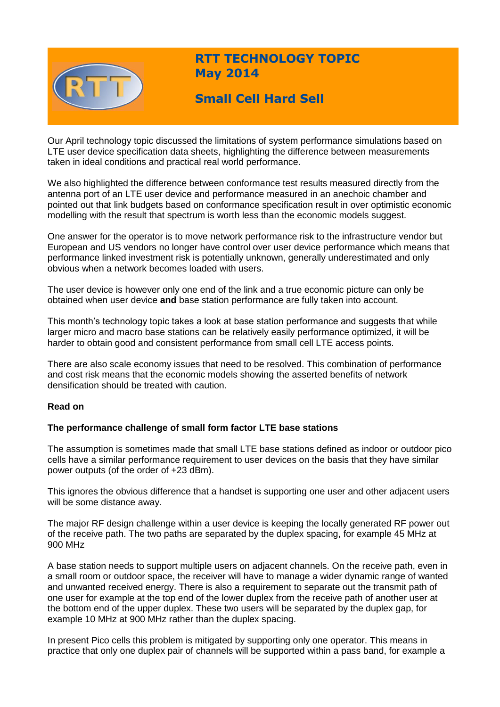

# **RTT TECHNOLOGY TOPIC May 2014**

# **Small Cell Hard Sell**

Our April technology topic discussed the limitations of system performance simulations based on LTE user device specification data sheets, highlighting the difference between measurements taken in ideal conditions and practical real world performance.

We also highlighted the difference between conformance test results measured directly from the antenna port of an LTE user device and performance measured in an anechoic chamber and pointed out that link budgets based on conformance specification result in over optimistic economic modelling with the result that spectrum is worth less than the economic models suggest.

One answer for the operator is to move network performance risk to the infrastructure vendor but European and US vendors no longer have control over user device performance which means that performance linked investment risk is potentially unknown, generally underestimated and only obvious when a network becomes loaded with users.

The user device is however only one end of the link and a true economic picture can only be obtained when user device **and** base station performance are fully taken into account.

This month's technology topic takes a look at base station performance and suggests that while larger micro and macro base stations can be relatively easily performance optimized, it will be harder to obtain good and consistent performance from small cell LTE access points.

There are also scale economy issues that need to be resolved. This combination of performance and cost risk means that the economic models showing the asserted benefits of network densification should be treated with caution.

# **Read on**

# **The performance challenge of small form factor LTE base stations**

The assumption is sometimes made that small LTE base stations defined as indoor or outdoor pico cells have a similar performance requirement to user devices on the basis that they have similar power outputs (of the order of +23 dBm).

This ignores the obvious difference that a handset is supporting one user and other adjacent users will be some distance away.

The major RF design challenge within a user device is keeping the locally generated RF power out of the receive path. The two paths are separated by the duplex spacing, for example 45 MHz at 900 MHz

A base station needs to support multiple users on adjacent channels. On the receive path, even in a small room or outdoor space, the receiver will have to manage a wider dynamic range of wanted and unwanted received energy. There is also a requirement to separate out the transmit path of one user for example at the top end of the lower duplex from the receive path of another user at the bottom end of the upper duplex. These two users will be separated by the duplex gap, for example 10 MHz at 900 MHz rather than the duplex spacing.

In present Pico cells this problem is mitigated by supporting only one operator. This means in practice that only one duplex pair of channels will be supported within a pass band, for example a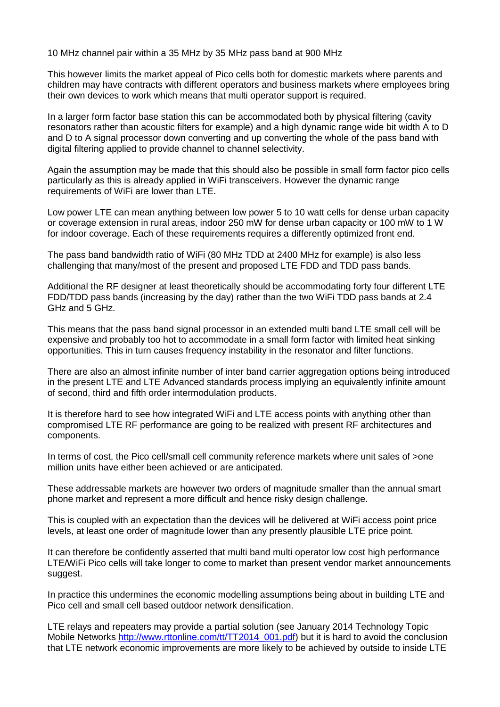10 MHz channel pair within a 35 MHz by 35 MHz pass band at 900 MHz

This however limits the market appeal of Pico cells both for domestic markets where parents and children may have contracts with different operators and business markets where employees bring their own devices to work which means that multi operator support is required.

In a larger form factor base station this can be accommodated both by physical filtering (cavity resonators rather than acoustic filters for example) and a high dynamic range wide bit width A to D and D to A signal processor down converting and up converting the whole of the pass band with digital filtering applied to provide channel to channel selectivity.

Again the assumption may be made that this should also be possible in small form factor pico cells particularly as this is already applied in WiFi transceivers. However the dynamic range requirements of WiFi are lower than LTE.

Low power LTE can mean anything between low power 5 to 10 watt cells for dense urban capacity or coverage extension in rural areas, indoor 250 mW for dense urban capacity or 100 mW to 1 W for indoor coverage. Each of these requirements requires a differently optimized front end.

The pass band bandwidth ratio of WiFi (80 MHz TDD at 2400 MHz for example) is also less challenging that many/most of the present and proposed LTE FDD and TDD pass bands.

Additional the RF designer at least theoretically should be accommodating forty four different LTE FDD/TDD pass bands (increasing by the day) rather than the two WiFi TDD pass bands at 2.4 GHz and 5 GHz.

This means that the pass band signal processor in an extended multi band LTE small cell will be expensive and probably too hot to accommodate in a small form factor with limited heat sinking opportunities. This in turn causes frequency instability in the resonator and filter functions.

There are also an almost infinite number of inter band carrier aggregation options being introduced in the present LTE and LTE Advanced standards process implying an equivalently infinite amount of second, third and fifth order intermodulation products.

It is therefore hard to see how integrated WiFi and LTE access points with anything other than compromised LTE RF performance are going to be realized with present RF architectures and components.

In terms of cost, the Pico cell/small cell community reference markets where unit sales of >one million units have either been achieved or are anticipated.

These addressable markets are however two orders of magnitude smaller than the annual smart phone market and represent a more difficult and hence risky design challenge.

This is coupled with an expectation than the devices will be delivered at WiFi access point price levels, at least one order of magnitude lower than any presently plausible LTE price point.

It can therefore be confidently asserted that multi band multi operator low cost high performance LTE/WiFi Pico cells will take longer to come to market than present vendor market announcements suggest.

In practice this undermines the economic modelling assumptions being about in building LTE and Pico cell and small cell based outdoor network densification.

LTE relays and repeaters may provide a partial solution (see January 2014 Technology Topic Mobile Networks [http://www.rttonline.com/tt/TT2014\\_001.pdf\)](http://www.rttonline.com/tt/TT2014_001.pdf) but it is hard to avoid the conclusion that LTE network economic improvements are more likely to be achieved by outside to inside LTE